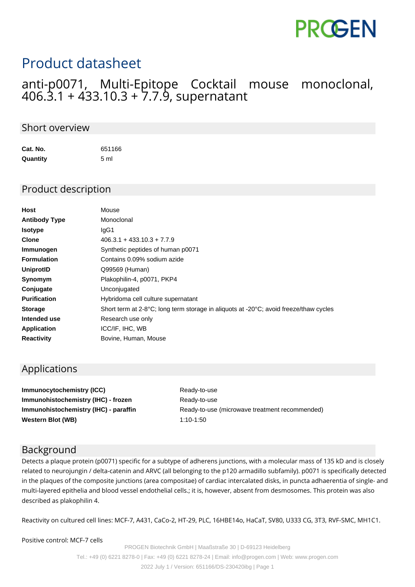

# Product datasheet

### anti-p0071, Multi-Epitope Cocktail mouse monoclonal, 406.3.1 + 433.10.3 + 7.7.9, supernatant

#### Short overview

| Cat. No. | 651166 |
|----------|--------|
| Quantity | 5 ml   |

#### Product description

| Host                 | Mouse                                                                                                       |
|----------------------|-------------------------------------------------------------------------------------------------------------|
| <b>Antibody Type</b> | Monoclonal                                                                                                  |
| <b>Isotype</b>       | IgG1                                                                                                        |
| <b>Clone</b>         | $406.3.1 + 433.10.3 + 7.7.9$                                                                                |
| Immunogen            | Synthetic peptides of human p0071                                                                           |
| <b>Formulation</b>   | Contains 0.09% sodium azide                                                                                 |
| <b>UniprotID</b>     | Q99569 (Human)                                                                                              |
| Synomym              | Plakophilin-4, p0071, PKP4                                                                                  |
| Conjugate            | Unconjugated                                                                                                |
| <b>Purification</b>  | Hybridoma cell culture supernatant                                                                          |
| <b>Storage</b>       | Short term at 2-8 $^{\circ}$ C; long term storage in aliguots at -20 $^{\circ}$ C; avoid freeze/thaw cycles |
| Intended use         | Research use only                                                                                           |
| <b>Application</b>   | ICC/IF, IHC, WB                                                                                             |
| <b>Reactivity</b>    | Bovine, Human, Mouse                                                                                        |

#### Applications

**Immunocytochemistry (ICC)** Ready-to-use **Immunohistochemistry (IHC) - frozen** Ready-to-use **Western Blot (WB)** 1:10-1:50

**Immunohistochemistry (IHC) - paraffin** Ready-to-use (microwave treatment recommended)

#### Background

Detects a plaque protein (p0071) specific for a subtype of adherens junctions, with a molecular mass of 135 kD and is closely related to neurojungin / delta-catenin and ARVC (all belonging to the p120 armadillo subfamily). p0071 is specifically detected in the plaques of the composite junctions (area compositae) of cardiac intercalated disks, in puncta adhaerentia of single- and multi-layered epithelia and blood vessel endothelial cells.; it is, however, absent from desmosomes. This protein was also described as plakophilin 4.

Reactivity on cultured cell lines: MCF-7, A431, CaCo-2, HT-29, PLC, 16HBE14o, HaCaT, SV80, U333 CG, 3T3, RVF-SMC, MH1C1.

Positive control: MCF-7 cells

PROGEN Biotechnik GmbH | Maaßstraße 30 | D-69123 Heidelberg Tel.: +49 (0) 6221 8278-0 | Fax: +49 (0) 6221 8278-24 | Email: info@progen.com | Web: www.progen.com 2022 July 1 / Version: 651166/DS-230420ibg | Page 1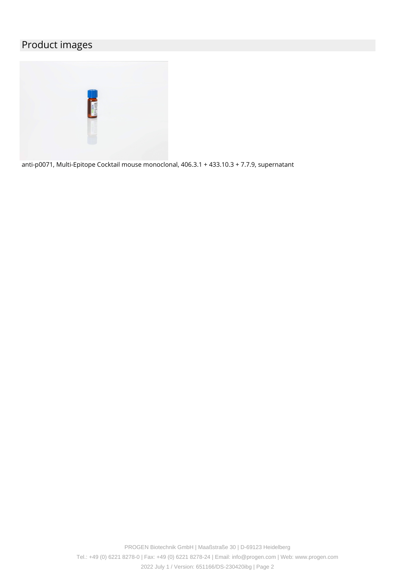## Product images



anti-p0071, Multi-Epitope Cocktail mouse monoclonal, 406.3.1 + 433.10.3 + 7.7.9, supernatant